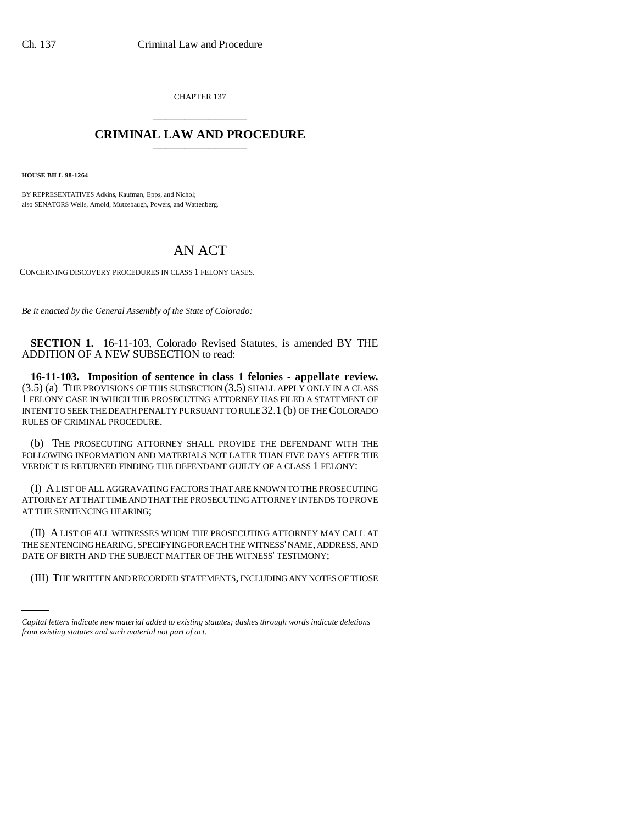CHAPTER 137 \_\_\_\_\_\_\_\_\_\_\_\_\_\_\_

## **CRIMINAL LAW AND PROCEDURE** \_\_\_\_\_\_\_\_\_\_\_\_\_\_\_

**HOUSE BILL 98-1264**

BY REPRESENTATIVES Adkins, Kaufman, Epps, and Nichol; also SENATORS Wells, Arnold, Mutzebaugh, Powers, and Wattenberg.

## AN ACT

CONCERNING DISCOVERY PROCEDURES IN CLASS 1 FELONY CASES.

*Be it enacted by the General Assembly of the State of Colorado:*

**SECTION 1.** 16-11-103, Colorado Revised Statutes, is amended BY THE ADDITION OF A NEW SUBSECTION to read:

**16-11-103. Imposition of sentence in class 1 felonies - appellate review.** (3.5) (a) THE PROVISIONS OF THIS SUBSECTION (3.5) SHALL APPLY ONLY IN A CLASS 1 FELONY CASE IN WHICH THE PROSECUTING ATTORNEY HAS FILED A STATEMENT OF INTENT TO SEEK THE DEATH PENALTY PURSUANT TO RULE 32.1 (b) OF THE COLORADO RULES OF CRIMINAL PROCEDURE.

(b) THE PROSECUTING ATTORNEY SHALL PROVIDE THE DEFENDANT WITH THE FOLLOWING INFORMATION AND MATERIALS NOT LATER THAN FIVE DAYS AFTER THE VERDICT IS RETURNED FINDING THE DEFENDANT GUILTY OF A CLASS 1 FELONY:

(I) A LIST OF ALL AGGRAVATING FACTORS THAT ARE KNOWN TO THE PROSECUTING ATTORNEY AT THAT TIME AND THAT THE PROSECUTING ATTORNEY INTENDS TO PROVE AT THE SENTENCING HEARING;

DATE OF BIRTH AND THE SUBJECT MATTER OF THE WITNESS' TESTIMONY; (II) A LIST OF ALL WITNESSES WHOM THE PROSECUTING ATTORNEY MAY CALL AT THE SENTENCING HEARING, SPECIFYING FOR EACH THE WITNESS' NAME, ADDRESS, AND

(III) THE WRITTEN AND RECORDED STATEMENTS, INCLUDING ANY NOTES OF THOSE

*Capital letters indicate new material added to existing statutes; dashes through words indicate deletions from existing statutes and such material not part of act.*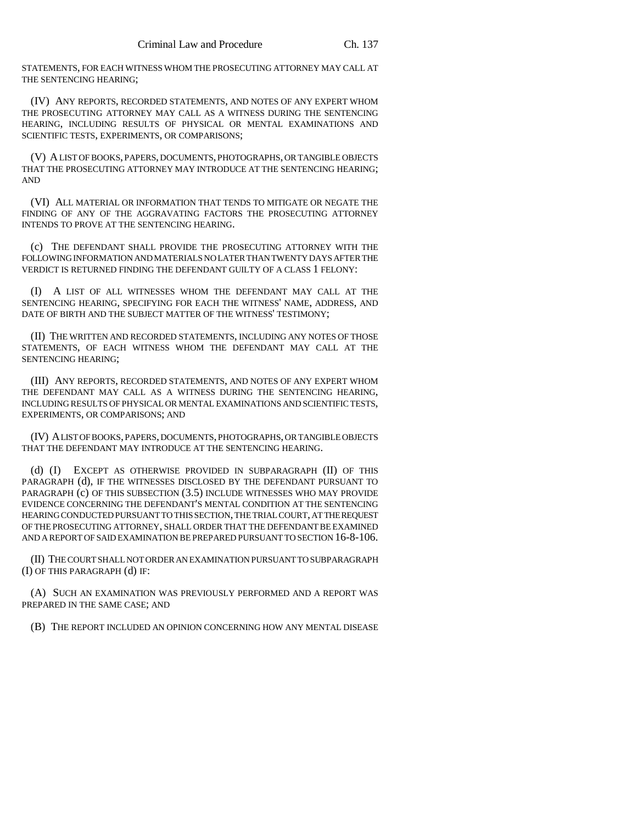STATEMENTS, FOR EACH WITNESS WHOM THE PROSECUTING ATTORNEY MAY CALL AT THE SENTENCING HEARING;

(IV) ANY REPORTS, RECORDED STATEMENTS, AND NOTES OF ANY EXPERT WHOM THE PROSECUTING ATTORNEY MAY CALL AS A WITNESS DURING THE SENTENCING HEARING, INCLUDING RESULTS OF PHYSICAL OR MENTAL EXAMINATIONS AND SCIENTIFIC TESTS, EXPERIMENTS, OR COMPARISONS;

(V) A LIST OF BOOKS, PAPERS, DOCUMENTS, PHOTOGRAPHS, OR TANGIBLE OBJECTS THAT THE PROSECUTING ATTORNEY MAY INTRODUCE AT THE SENTENCING HEARING; AND

(VI) ALL MATERIAL OR INFORMATION THAT TENDS TO MITIGATE OR NEGATE THE FINDING OF ANY OF THE AGGRAVATING FACTORS THE PROSECUTING ATTORNEY INTENDS TO PROVE AT THE SENTENCING HEARING.

(c) THE DEFENDANT SHALL PROVIDE THE PROSECUTING ATTORNEY WITH THE FOLLOWING INFORMATION AND MATERIALS NO LATER THAN TWENTY DAYS AFTER THE VERDICT IS RETURNED FINDING THE DEFENDANT GUILTY OF A CLASS 1 FELONY:

(I) A LIST OF ALL WITNESSES WHOM THE DEFENDANT MAY CALL AT THE SENTENCING HEARING, SPECIFYING FOR EACH THE WITNESS' NAME, ADDRESS, AND DATE OF BIRTH AND THE SUBJECT MATTER OF THE WITNESS' TESTIMONY;

(II) THE WRITTEN AND RECORDED STATEMENTS, INCLUDING ANY NOTES OF THOSE STATEMENTS, OF EACH WITNESS WHOM THE DEFENDANT MAY CALL AT THE SENTENCING HEARING;

(III) ANY REPORTS, RECORDED STATEMENTS, AND NOTES OF ANY EXPERT WHOM THE DEFENDANT MAY CALL AS A WITNESS DURING THE SENTENCING HEARING, INCLUDING RESULTS OF PHYSICAL OR MENTAL EXAMINATIONS AND SCIENTIFIC TESTS, EXPERIMENTS, OR COMPARISONS; AND

(IV) A LIST OF BOOKS, PAPERS, DOCUMENTS, PHOTOGRAPHS, OR TANGIBLE OBJECTS THAT THE DEFENDANT MAY INTRODUCE AT THE SENTENCING HEARING.

(d) (I) EXCEPT AS OTHERWISE PROVIDED IN SUBPARAGRAPH (II) OF THIS PARAGRAPH (d), IF THE WITNESSES DISCLOSED BY THE DEFENDANT PURSUANT TO PARAGRAPH (c) OF THIS SUBSECTION (3.5) INCLUDE WITNESSES WHO MAY PROVIDE EVIDENCE CONCERNING THE DEFENDANT'S MENTAL CONDITION AT THE SENTENCING HEARING CONDUCTED PURSUANT TO THIS SECTION, THE TRIAL COURT, AT THE REQUEST OF THE PROSECUTING ATTORNEY, SHALL ORDER THAT THE DEFENDANT BE EXAMINED AND A REPORT OF SAID EXAMINATION BE PREPARED PURSUANT TO SECTION 16-8-106.

(II) THE COURT SHALL NOT ORDER AN EXAMINATION PURSUANT TO SUBPARAGRAPH (I) OF THIS PARAGRAPH (d) IF:

(A) SUCH AN EXAMINATION WAS PREVIOUSLY PERFORMED AND A REPORT WAS PREPARED IN THE SAME CASE; AND

(B) THE REPORT INCLUDED AN OPINION CONCERNING HOW ANY MENTAL DISEASE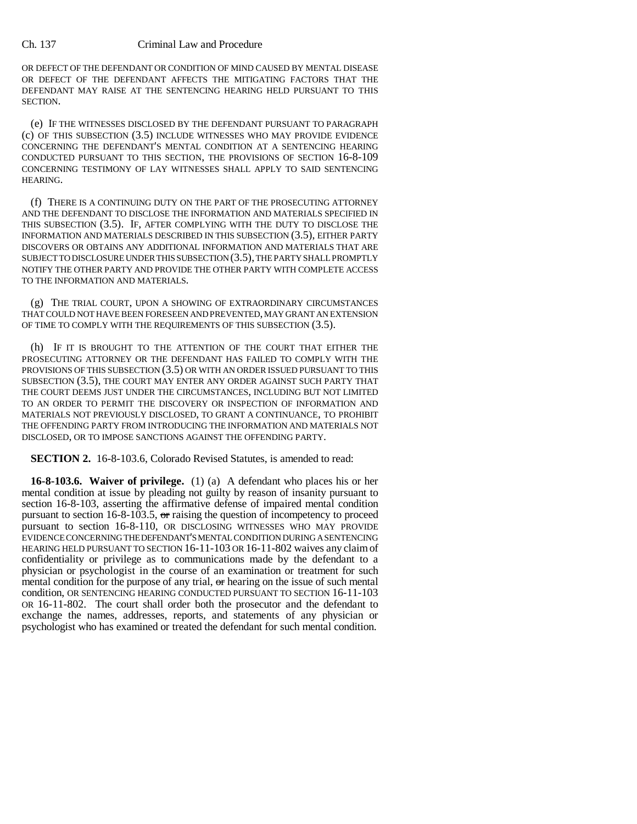## Ch. 137 Criminal Law and Procedure

OR DEFECT OF THE DEFENDANT OR CONDITION OF MIND CAUSED BY MENTAL DISEASE OR DEFECT OF THE DEFENDANT AFFECTS THE MITIGATING FACTORS THAT THE DEFENDANT MAY RAISE AT THE SENTENCING HEARING HELD PURSUANT TO THIS SECTION.

(e) IF THE WITNESSES DISCLOSED BY THE DEFENDANT PURSUANT TO PARAGRAPH (c) OF THIS SUBSECTION (3.5) INCLUDE WITNESSES WHO MAY PROVIDE EVIDENCE CONCERNING THE DEFENDANT'S MENTAL CONDITION AT A SENTENCING HEARING CONDUCTED PURSUANT TO THIS SECTION, THE PROVISIONS OF SECTION 16-8-109 CONCERNING TESTIMONY OF LAY WITNESSES SHALL APPLY TO SAID SENTENCING HEARING.

(f) THERE IS A CONTINUING DUTY ON THE PART OF THE PROSECUTING ATTORNEY AND THE DEFENDANT TO DISCLOSE THE INFORMATION AND MATERIALS SPECIFIED IN THIS SUBSECTION (3.5). IF, AFTER COMPLYING WITH THE DUTY TO DISCLOSE THE INFORMATION AND MATERIALS DESCRIBED IN THIS SUBSECTION (3.5), EITHER PARTY DISCOVERS OR OBTAINS ANY ADDITIONAL INFORMATION AND MATERIALS THAT ARE SUBJECT TO DISCLOSURE UNDER THIS SUBSECTION (3.5), THE PARTY SHALL PROMPTLY NOTIFY THE OTHER PARTY AND PROVIDE THE OTHER PARTY WITH COMPLETE ACCESS TO THE INFORMATION AND MATERIALS.

(g) THE TRIAL COURT, UPON A SHOWING OF EXTRAORDINARY CIRCUMSTANCES THAT COULD NOT HAVE BEEN FORESEEN AND PREVENTED, MAY GRANT AN EXTENSION OF TIME TO COMPLY WITH THE REQUIREMENTS OF THIS SUBSECTION (3.5).

(h) IF IT IS BROUGHT TO THE ATTENTION OF THE COURT THAT EITHER THE PROSECUTING ATTORNEY OR THE DEFENDANT HAS FAILED TO COMPLY WITH THE PROVISIONS OF THIS SUBSECTION (3.5) OR WITH AN ORDER ISSUED PURSUANT TO THIS SUBSECTION (3.5), THE COURT MAY ENTER ANY ORDER AGAINST SUCH PARTY THAT THE COURT DEEMS JUST UNDER THE CIRCUMSTANCES, INCLUDING BUT NOT LIMITED TO AN ORDER TO PERMIT THE DISCOVERY OR INSPECTION OF INFORMATION AND MATERIALS NOT PREVIOUSLY DISCLOSED, TO GRANT A CONTINUANCE, TO PROHIBIT THE OFFENDING PARTY FROM INTRODUCING THE INFORMATION AND MATERIALS NOT DISCLOSED, OR TO IMPOSE SANCTIONS AGAINST THE OFFENDING PARTY.

**SECTION 2.** 16-8-103.6, Colorado Revised Statutes, is amended to read:

**16-8-103.6. Waiver of privilege.** (1) (a) A defendant who places his or her mental condition at issue by pleading not guilty by reason of insanity pursuant to section 16-8-103, asserting the affirmative defense of impaired mental condition pursuant to section 16-8-103.5,  $\sigma$  raising the question of incompetency to proceed pursuant to section 16-8-110, OR DISCLOSING WITNESSES WHO MAY PROVIDE EVIDENCE CONCERNING THE DEFENDANT'S MENTAL CONDITION DURING A SENTENCING HEARING HELD PURSUANT TO SECTION 16-11-103 OR 16-11-802 waives any claim of confidentiality or privilege as to communications made by the defendant to a physician or psychologist in the course of an examination or treatment for such mental condition for the purpose of any trial,  $\sigma$  hearing on the issue of such mental condition, OR SENTENCING HEARING CONDUCTED PURSUANT TO SECTION 16-11-103 OR 16-11-802. The court shall order both the prosecutor and the defendant to exchange the names, addresses, reports, and statements of any physician or psychologist who has examined or treated the defendant for such mental condition.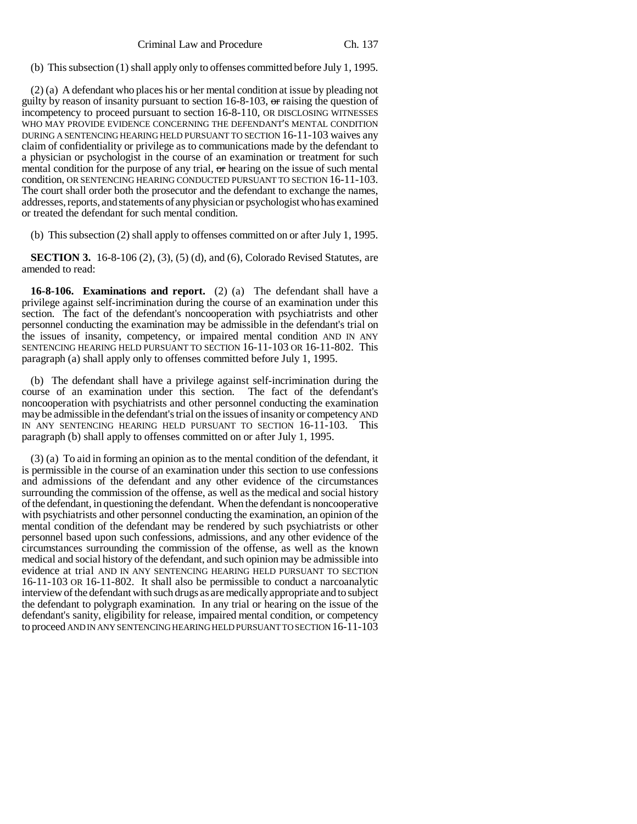(b) This subsection (1) shall apply only to offenses committed before July 1, 1995.

(2) (a) A defendant who places his or her mental condition at issue by pleading not guilty by reason of insanity pursuant to section  $16-8-103$ , or raising the question of incompetency to proceed pursuant to section 16-8-110, OR DISCLOSING WITNESSES WHO MAY PROVIDE EVIDENCE CONCERNING THE DEFENDANT'S MENTAL CONDITION DURING A SENTENCING HEARING HELD PURSUANT TO SECTION 16-11-103 waives any claim of confidentiality or privilege as to communications made by the defendant to a physician or psychologist in the course of an examination or treatment for such mental condition for the purpose of any trial,  $\sigma$  hearing on the issue of such mental condition, OR SENTENCING HEARING CONDUCTED PURSUANT TO SECTION 16-11-103. The court shall order both the prosecutor and the defendant to exchange the names, addresses, reports, and statements of any physician or psychologist who has examined or treated the defendant for such mental condition.

(b) This subsection (2) shall apply to offenses committed on or after July 1, 1995.

**SECTION 3.** 16-8-106 (2), (3), (5) (d), and (6), Colorado Revised Statutes, are amended to read:

**16-8-106. Examinations and report.** (2) (a) The defendant shall have a privilege against self-incrimination during the course of an examination under this section. The fact of the defendant's noncooperation with psychiatrists and other personnel conducting the examination may be admissible in the defendant's trial on the issues of insanity, competency, or impaired mental condition AND IN ANY SENTENCING HEARING HELD PURSUANT TO SECTION 16-11-103 OR 16-11-802. This paragraph (a) shall apply only to offenses committed before July 1, 1995.

(b) The defendant shall have a privilege against self-incrimination during the course of an examination under this section. The fact of the defendant's noncooperation with psychiatrists and other personnel conducting the examination may be admissible in the defendant's trial on the issues of insanity or competency AND IN ANY SENTENCING HEARING HELD PURSUANT TO SECTION 16-11-103. This paragraph (b) shall apply to offenses committed on or after July 1, 1995.

(3) (a) To aid in forming an opinion as to the mental condition of the defendant, it is permissible in the course of an examination under this section to use confessions and admissions of the defendant and any other evidence of the circumstances surrounding the commission of the offense, as well as the medical and social history of the defendant, in questioning the defendant. When the defendant is noncooperative with psychiatrists and other personnel conducting the examination, an opinion of the mental condition of the defendant may be rendered by such psychiatrists or other personnel based upon such confessions, admissions, and any other evidence of the circumstances surrounding the commission of the offense, as well as the known medical and social history of the defendant, and such opinion may be admissible into evidence at trial AND IN ANY SENTENCING HEARING HELD PURSUANT TO SECTION 16-11-103 OR 16-11-802. It shall also be permissible to conduct a narcoanalytic interview of the defendant with such drugs as are medically appropriate and to subject the defendant to polygraph examination. In any trial or hearing on the issue of the defendant's sanity, eligibility for release, impaired mental condition, or competency to proceed AND IN ANY SENTENCING HEARING HELD PURSUANT TO SECTION 16-11-103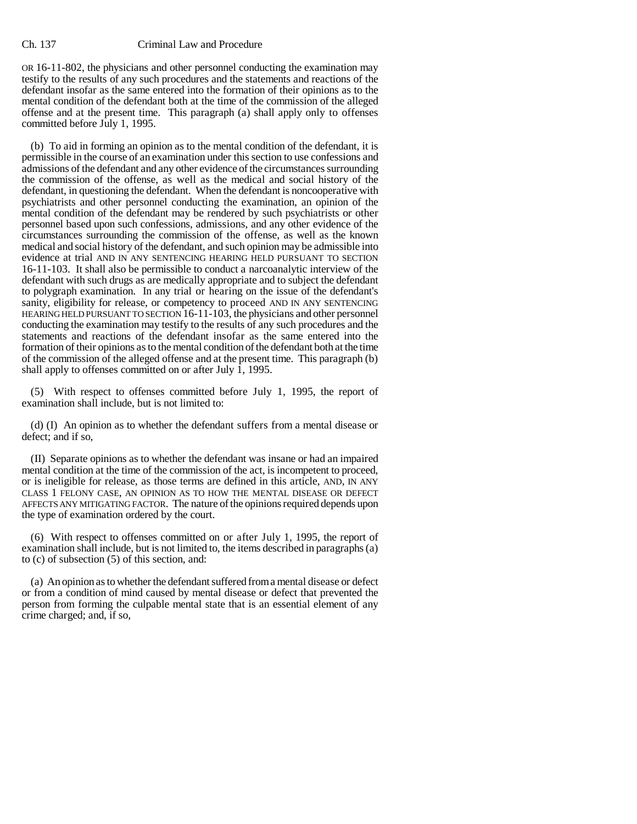OR 16-11-802, the physicians and other personnel conducting the examination may testify to the results of any such procedures and the statements and reactions of the defendant insofar as the same entered into the formation of their opinions as to the mental condition of the defendant both at the time of the commission of the alleged offense and at the present time. This paragraph (a) shall apply only to offenses committed before July 1, 1995.

(b) To aid in forming an opinion as to the mental condition of the defendant, it is permissible in the course of an examination under this section to use confessions and admissions of the defendant and any other evidence of the circumstances surrounding the commission of the offense, as well as the medical and social history of the defendant, in questioning the defendant. When the defendant is noncooperative with psychiatrists and other personnel conducting the examination, an opinion of the mental condition of the defendant may be rendered by such psychiatrists or other personnel based upon such confessions, admissions, and any other evidence of the circumstances surrounding the commission of the offense, as well as the known medical and social history of the defendant, and such opinion may be admissible into evidence at trial AND IN ANY SENTENCING HEARING HELD PURSUANT TO SECTION 16-11-103. It shall also be permissible to conduct a narcoanalytic interview of the defendant with such drugs as are medically appropriate and to subject the defendant to polygraph examination. In any trial or hearing on the issue of the defendant's sanity, eligibility for release, or competency to proceed AND IN ANY SENTENCING HEARING HELD PURSUANT TO SECTION 16-11-103, the physicians and other personnel conducting the examination may testify to the results of any such procedures and the statements and reactions of the defendant insofar as the same entered into the formation of their opinions as to the mental condition of the defendant both at the time of the commission of the alleged offense and at the present time. This paragraph (b) shall apply to offenses committed on or after July 1, 1995.

(5) With respect to offenses committed before July 1, 1995, the report of examination shall include, but is not limited to:

(d) (I) An opinion as to whether the defendant suffers from a mental disease or defect; and if so,

(II) Separate opinions as to whether the defendant was insane or had an impaired mental condition at the time of the commission of the act, is incompetent to proceed, or is ineligible for release, as those terms are defined in this article, AND, IN ANY CLASS 1 FELONY CASE, AN OPINION AS TO HOW THE MENTAL DISEASE OR DEFECT AFFECTS ANY MITIGATING FACTOR. The nature of the opinions required depends upon the type of examination ordered by the court.

(6) With respect to offenses committed on or after July 1, 1995, the report of examination shall include, but is not limited to, the items described in paragraphs (a) to (c) of subsection (5) of this section, and:

(a) An opinion as to whether the defendant suffered from a mental disease or defect or from a condition of mind caused by mental disease or defect that prevented the person from forming the culpable mental state that is an essential element of any crime charged; and, if so,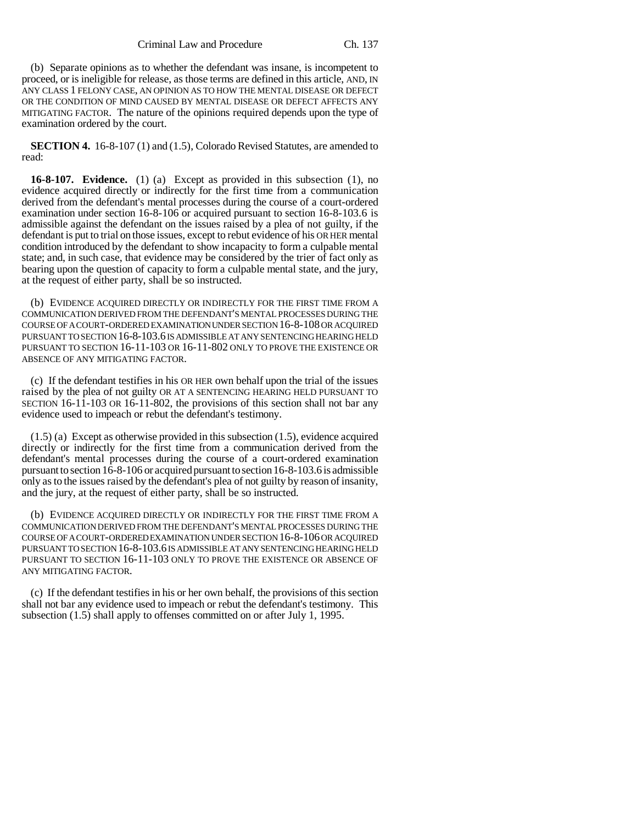(b) Separate opinions as to whether the defendant was insane, is incompetent to proceed, or is ineligible for release, as those terms are defined in this article, AND, IN ANY CLASS 1 FELONY CASE, AN OPINION AS TO HOW THE MENTAL DISEASE OR DEFECT OR THE CONDITION OF MIND CAUSED BY MENTAL DISEASE OR DEFECT AFFECTS ANY MITIGATING FACTOR. The nature of the opinions required depends upon the type of examination ordered by the court.

**SECTION 4.** 16-8-107 (1) and (1.5), Colorado Revised Statutes, are amended to read:

**16-8-107. Evidence.** (1) (a) Except as provided in this subsection (1), no evidence acquired directly or indirectly for the first time from a communication derived from the defendant's mental processes during the course of a court-ordered examination under section 16-8-106 or acquired pursuant to section 16-8-103.6 is admissible against the defendant on the issues raised by a plea of not guilty, if the defendant is put to trial on those issues, except to rebut evidence of his OR HER mental condition introduced by the defendant to show incapacity to form a culpable mental state; and, in such case, that evidence may be considered by the trier of fact only as bearing upon the question of capacity to form a culpable mental state, and the jury, at the request of either party, shall be so instructed.

(b) EVIDENCE ACQUIRED DIRECTLY OR INDIRECTLY FOR THE FIRST TIME FROM A COMMUNICATION DERIVED FROM THE DEFENDANT'S MENTAL PROCESSES DURING THE COURSE OF A COURT-ORDERED EXAMINATION UNDER SECTION 16-8-108 OR ACQUIRED PURSUANT TO SECTION 16-8-103.6 IS ADMISSIBLE AT ANY SENTENCING HEARING HELD PURSUANT TO SECTION 16-11-103 OR 16-11-802 ONLY TO PROVE THE EXISTENCE OR ABSENCE OF ANY MITIGATING FACTOR.

(c) If the defendant testifies in his OR HER own behalf upon the trial of the issues raised by the plea of not guilty OR AT A SENTENCING HEARING HELD PURSUANT TO SECTION 16-11-103 OR 16-11-802, the provisions of this section shall not bar any evidence used to impeach or rebut the defendant's testimony.

 $(1.5)$  (a) Except as otherwise provided in this subsection  $(1.5)$ , evidence acquired directly or indirectly for the first time from a communication derived from the defendant's mental processes during the course of a court-ordered examination pursuant to section 16-8-106 or acquired pursuant to section 16-8-103.6 is admissible only as to the issues raised by the defendant's plea of not guilty by reason of insanity, and the jury, at the request of either party, shall be so instructed.

(b) EVIDENCE ACQUIRED DIRECTLY OR INDIRECTLY FOR THE FIRST TIME FROM A COMMUNICATION DERIVED FROM THE DEFENDANT'S MENTAL PROCESSES DURING THE COURSE OF A COURT-ORDERED EXAMINATION UNDER SECTION 16-8-106 OR ACQUIRED PURSUANT TO SECTION 16-8-103.6 IS ADMISSIBLE AT ANY SENTENCING HEARING HELD PURSUANT TO SECTION 16-11-103 ONLY TO PROVE THE EXISTENCE OR ABSENCE OF ANY MITIGATING FACTOR.

(c) If the defendant testifies in his or her own behalf, the provisions of this section shall not bar any evidence used to impeach or rebut the defendant's testimony. This subsection (1.5) shall apply to offenses committed on or after July 1, 1995.